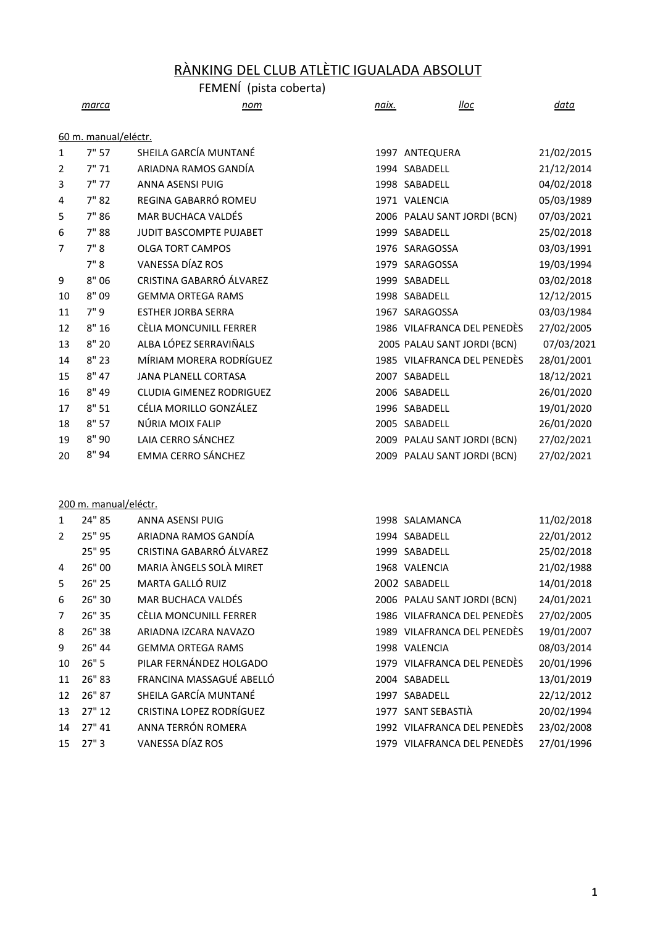# RÀNKING DEL CLUB ATLÈTIC IGUALADA ABSOLUT

|    |                      | FEMENÍ (pista coberta)         |       |                             |            |
|----|----------------------|--------------------------------|-------|-----------------------------|------------|
|    | marca                | nom                            | naix. | lloc                        | data       |
|    |                      |                                |       |                             |            |
|    | 60 m. manual/eléctr. |                                |       |                             |            |
| 1  | 7" 57                | SHEILA GARCÍA MUNTANÉ          |       | 1997 ANTEQUERA              | 21/02/2015 |
| 2  | 7"71                 | ARIADNA RAMOS GANDÍA           |       | 1994 SABADELL               | 21/12/2014 |
| 3  | 7"77                 | <b>ANNA ASENSI PUIG</b>        |       | 1998 SABADELL               | 04/02/2018 |
| 4  | 7"82                 | REGINA GABARRÓ ROMEU           |       | 1971 VALENCIA               | 05/03/1989 |
| 5  | 7"86                 | MAR BUCHACA VALDÉS             |       | 2006 PALAU SANT JORDI (BCN) | 07/03/2021 |
| 6  | 7"88                 | <b>JUDIT BASCOMPTE PUJABET</b> |       | 1999 SABADELL               | 25/02/2018 |
| 7  | 7"8                  | <b>OLGA TORT CAMPOS</b>        |       | 1976 SARAGOSSA              | 03/03/1991 |
|    | 7"8                  | VANESSA DÍAZ ROS               |       | 1979 SARAGOSSA              | 19/03/1994 |
| 9  | 8"06                 | CRISTINA GABARRÓ ÁLVAREZ       |       | 1999 SABADELL               | 03/02/2018 |
| 10 | 8" 09                | <b>GEMMA ORTEGA RAMS</b>       |       | 1998 SABADELL               | 12/12/2015 |
| 11 | 7"9                  | <b>ESTHER JORBA SERRA</b>      |       | 1967 SARAGOSSA              | 03/03/1984 |
| 12 | 8"16                 | CÈLIA MONCUNILL FERRER         |       | 1986 VILAFRANCA DEL PENEDÈS | 27/02/2005 |
| 13 | 8"20                 | ALBA LÓPEZ SERRAVIÑALS         |       | 2005 PALAU SANT JORDI (BCN) | 07/03/2021 |
| 14 | 8"23                 | MÍRIAM MORERA RODRÍGUEZ        |       | 1985 VILAFRANCA DEL PENEDÈS | 28/01/2001 |
| 15 | 8" 47                | <b>JANA PLANELL CORTASA</b>    |       | 2007 SABADELL               | 18/12/2021 |
| 16 | 8" 49                | CLUDIA GIMENEZ RODRIGUEZ       |       | 2006 SABADELL               | 26/01/2020 |
| 17 | 8"51                 | CÉLIA MORILLO GONZÁLEZ         |       | 1996 SABADELL               | 19/01/2020 |
| 18 | 8"57                 | NÚRIA MOIX FALIP               |       | 2005 SABADELL               | 26/01/2020 |
| 19 | 8" 90                | LAIA CERRO SÁNCHEZ             |       | 2009 PALAU SANT JORDI (BCN) | 27/02/2021 |
| 20 | 8" 94                | <b>EMMA CERRO SÁNCHEZ</b>      |       | 2009 PALAU SANT JORDI (BCN) | 27/02/2021 |
|    |                      |                                |       |                             |            |

### 200 m. manual/eléctr.

| 1              | 24" 85 | ANNA ASENSI PUIG          | 1998 SALAMANCA              | 11/02/2018 |
|----------------|--------|---------------------------|-----------------------------|------------|
| 2              | 25" 95 | ARIADNA RAMOS GANDÍA      | 1994 SABADELL               | 22/01/2012 |
|                | 25" 95 | CRISTINA GABARRÓ ÁLVAREZ  | 1999 SABADELL               | 25/02/2018 |
| 4              | 26" 00 | MARIA ÀNGELS SOLÀ MIRET   | 1968 VALENCIA               | 21/02/1988 |
| 5              | 26" 25 | MARTA GALLÓ RUIZ          | 2002 SABADELL               | 14/01/2018 |
| 6              | 26" 30 | <b>MAR BUCHACA VALDÉS</b> | 2006 PALAU SANT JORDI (BCN) | 24/01/2021 |
| $\overline{7}$ | 26" 35 | CÈLIA MONCUNILL FERRER    | 1986 VILAFRANCA DEL PENEDÈS | 27/02/2005 |
| 8              | 26" 38 | ARIADNA IZCARA NAVAZO     | 1989 VILAFRANCA DEL PENEDÈS | 19/01/2007 |
| 9              | 26" 44 | <b>GEMMA ORTEGA RAMS</b>  | 1998 VALENCIA               | 08/03/2014 |
| 10             | 26"5   | PILAR FERNÁNDEZ HOLGADO   | 1979 VILAFRANCA DEL PENEDÈS | 20/01/1996 |
| 11             | 26" 83 | FRANCINA MASSAGUÉ ABELLÓ  | 2004 SABADELL               | 13/01/2019 |
| 12             | 26" 87 | SHEILA GARCÍA MUNTANÉ     | 1997 SABADELL               | 22/12/2012 |
| 13             | 27" 12 | CRISTINA LOPEZ RODRÍGUEZ  | 1977 SANT SEBASTIÀ          | 20/02/1994 |
| 14             | 27" 41 | ANNA TERRÓN ROMERA        | 1992 VILAFRANCA DEL PENEDÈS | 23/02/2008 |
| 15             | 27"3   | VANESSA DÍAZ ROS          | 1979 VILAFRANCA DEL PENEDÈS | 27/01/1996 |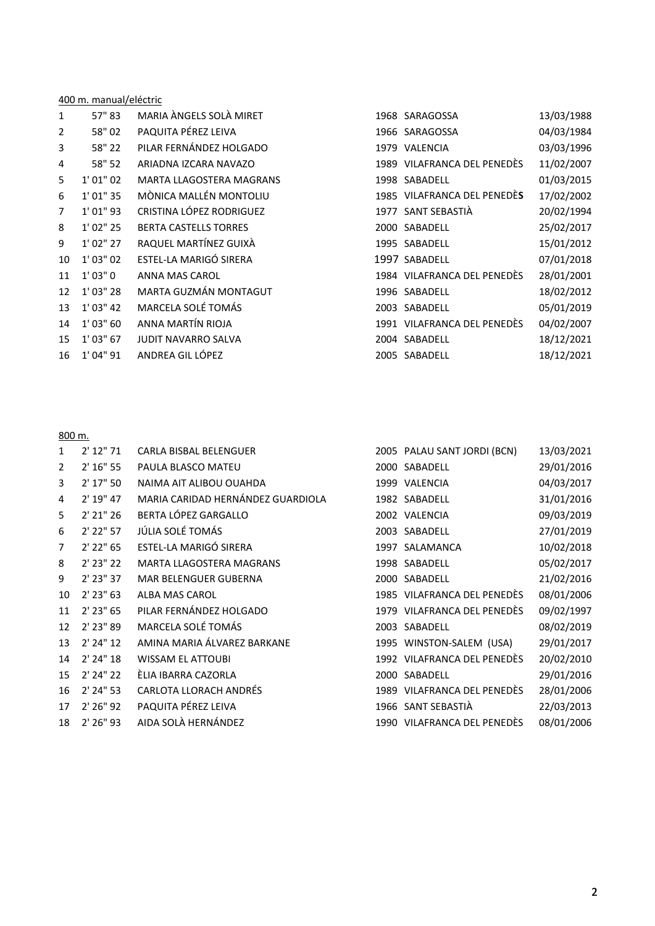|    | 400 m. manual/eléctric |                              |      |                             |            |  |  |
|----|------------------------|------------------------------|------|-----------------------------|------------|--|--|
| 1  | 57" 83                 | MARIA ÀNGELS SOLÀ MIRET      |      | 1968 SARAGOSSA              | 13/03/1988 |  |  |
| 2  | 58" 02                 | PAQUITA PÉREZ LEIVA          | 1966 | SARAGOSSA                   | 04/03/1984 |  |  |
| 3  | 58" 22                 | PILAR FERNÁNDEZ HOLGADO      |      | 1979 VALENCIA               | 03/03/1996 |  |  |
| 4  | 58" 52                 | ARIADNA IZCARA NAVAZO        |      | 1989 VILAFRANCA DEL PENEDÈS | 11/02/2007 |  |  |
| 5  | 1' 01'' 02             | MARTA LLAGOSTERA MAGRANS     |      | 1998 SABADELL               | 01/03/2015 |  |  |
| 6  | 1' 01" 35              | MÒNICA MALLÉN MONTOLIU       |      | 1985 VILAFRANCA DEL PENEDÈS | 17/02/2002 |  |  |
| 7  | $1'$ 01" 93            | CRISTINA LÓPEZ RODRIGUEZ     |      | 1977 SANT SEBASTIÀ          | 20/02/1994 |  |  |
| 8  | 1' 02" 25              | <b>BERTA CASTELLS TORRES</b> |      | 2000 SABADELL               | 25/02/2017 |  |  |
| 9  | 1' 02'' 27             | RAQUEL MARTÍNEZ GUIXÀ        |      | 1995 SABADELL               | 15/01/2012 |  |  |
| 10 | 1' 03'' 02             | ESTEL-LA MARIGÓ SIRERA       |      | 1997 SABADELL               | 07/01/2018 |  |  |
| 11 | 1' 03'' 0              | ANNA MAS CAROL               |      | 1984 VILAFRANCA DEL PENEDÈS | 28/01/2001 |  |  |
| 12 | $1'$ 03" 28            | MARTA GUZMÁN MONTAGUT        |      | 1996 SABADELL               | 18/02/2012 |  |  |
| 13 | $1'$ 03" 42            | MARCELA SOLÉ TOMÁS           |      | 2003 SABADELL               | 05/01/2019 |  |  |
| 14 | $1'$ 03" 60            | ANNA MARTÍN RIOJA            |      | 1991 VILAFRANCA DEL PENEDÈS | 04/02/2007 |  |  |
| 15 | $1'$ 03" 67            | <b>JUDIT NAVARRO SALVA</b>   |      | 2004 SABADELL               | 18/12/2021 |  |  |
| 16 | 1' 04" 91              | ANDREA GIL LÓPEZ             |      | 2005 SABADELL               | 18/12/2021 |  |  |

# 800 m.

| 1              | $2'$ 12" 71 | CARLA BISBAL BELENGUER            | 2005 PALAU SANT JORDI (BCN) | 13/03/2021 |
|----------------|-------------|-----------------------------------|-----------------------------|------------|
| $\overline{2}$ | $2'$ 16" 55 | PAULA BLASCO MATEU                | 2000 SABADELL               | 29/01/2016 |
| 3              | 2' 17" 50   | NAIMA AIT ALIBOU OUAHDA           | 1999 VALENCIA               | 04/03/2017 |
| 4              | 2' 19" 47   | MARIA CARIDAD HERNÁNDEZ GUARDIOLA | 1982 SABADELL               | 31/01/2016 |
| 5              | 2' 21" 26   | BERTA LÓPEZ GARGALLO              | 2002 VALENCIA               | 09/03/2019 |
| 6              | 2' 22" 57   | JÚLIA SOLÉ TOMÁS                  | 2003 SABADELL               | 27/01/2019 |
| $\overline{7}$ | $2'$ 22" 65 | ESTEL-LA MARIGÓ SIRERA            | 1997 SALAMANCA              | 10/02/2018 |
| 8              | $2'$ 23" 22 | <b>MARTA LLAGOSTERA MAGRANS</b>   | 1998 SABADELL               | 05/02/2017 |
| 9              | $2'$ 23" 37 | MAR BELENGUER GUBERNA             | 2000 SABADELL               | 21/02/2016 |
| 10             | $2'$ 23" 63 | ALBA MAS CAROL                    | 1985 VILAFRANCA DEL PENEDÈS | 08/01/2006 |
| 11             | 2' 23" 65   | PILAR FERNÁNDEZ HOLGADO           | 1979 VILAFRANCA DEL PENEDÈS | 09/02/1997 |
| 12             | 2' 23" 89   | MARCELA SOLÉ TOMÁS                | 2003 SABADELL               | 08/02/2019 |
| 13             | 2' 24" 12   | AMINA MARIA ÁLVAREZ BARKANE       | 1995 WINSTON-SALEM (USA)    | 29/01/2017 |
| 14             | 2' 24" 18   | <b>WISSAM EL ATTOUBI</b>          | 1992 VILAFRANCA DEL PENEDÈS | 20/02/2010 |
| 15             | $2'$ 24" 22 | ÈLIA IBARRA CAZORLA               | 2000 SABADELL               | 29/01/2016 |
| 16             | $2'$ 24" 53 | <b>CARLOTA LLORACH ANDRÉS</b>     | 1989 VILAFRANCA DEL PENEDÈS | 28/01/2006 |
| 17             | 2' 26" 92   | PAQUITA PÉREZ LEIVA               | 1966 SANT SEBASTIÀ          | 22/03/2013 |
| 18             | $2'$ 26" 93 | AIDA SOLÀ HERNÁNDEZ               | 1990 VILAFRANCA DEL PENEDÈS | 08/01/2006 |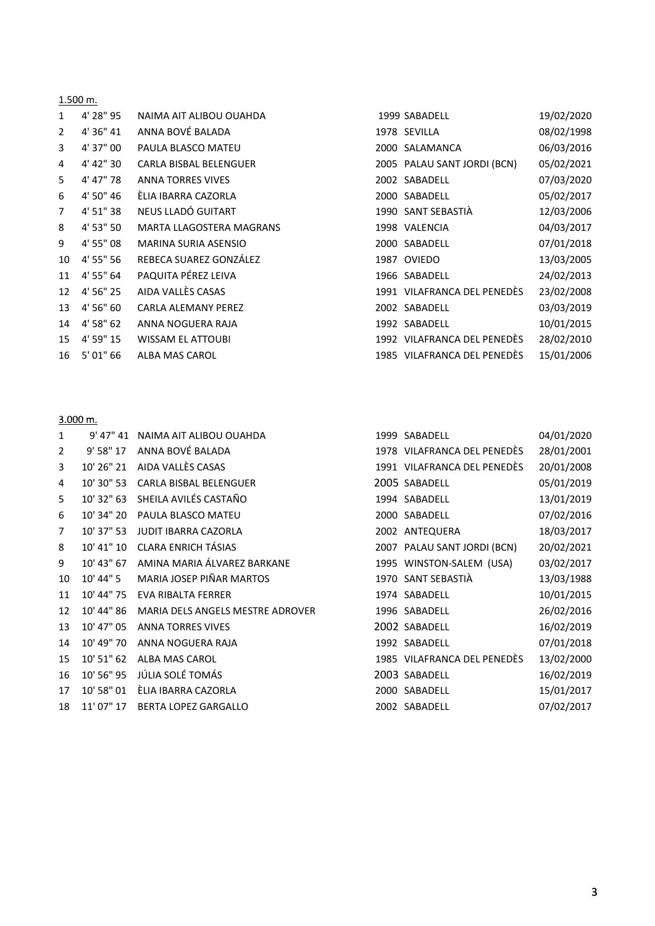|                | 1.500 m.  |                                 |                             |            |
|----------------|-----------|---------------------------------|-----------------------------|------------|
| $\mathbf{1}$   | 4' 28" 95 | NAIMA AIT ALIBOU OUAHDA         | 1999 SABADELL               | 19/02/2020 |
| $\overline{2}$ | 4' 36" 41 | ANNA BOVÉ BALADA                | 1978 SEVILLA                | 08/02/1998 |
| 3              | 4' 37" 00 | PAULA BLASCO MATEU              | 2000 SALAMANCA              | 06/03/2016 |
| 4              | 4' 42" 30 | CARLA BISBAL BELENGUER          | 2005 PALAU SANT JORDI (BCN) | 05/02/2021 |
| 5              | 4' 47" 78 | <b>ANNA TORRES VIVES</b>        | 2002 SABADELL               | 07/03/2020 |
| 6              | 4' 50" 46 | ÈLIA IBARRA CAZORLA             | 2000 SABADELL               | 05/02/2017 |
| $\overline{7}$ | 4' 51" 38 | NEUS LLADÓ GUITART              | 1990 SANT SEBASTIÀ          | 12/03/2006 |
| 8              | 4' 53" 50 | <b>MARTA LLAGOSTERA MAGRANS</b> | 1998 VALENCIA               | 04/03/2017 |
| 9              | 4' 55" 08 | <b>MARINA SURIA ASENSIO</b>     | 2000 SABADELL               | 07/01/2018 |
| 10             | 4' 55" 56 | REBECA SUAREZ GONZÁLEZ          | 1987 OVIEDO                 | 13/03/2005 |
| 11             | 4' 55" 64 | PAQUITA PÉREZ LEIVA             | 1966 SABADELL               | 24/02/2013 |
| 12             | 4' 56" 25 | AIDA VALLÈS CASAS               | 1991 VILAFRANCA DEL PENEDÈS | 23/02/2008 |
| 13             | 4' 56" 60 | <b>CARLA ALEMANY PEREZ</b>      | 2002 SABADELL               | 03/03/2019 |
| 14             | 4' 58" 62 | ANNA NOGUERA RAJA               | 1992 SABADELL               | 10/01/2015 |
| 15             | 4' 59" 15 | <b>WISSAM EL ATTOUBI</b>        | 1992 VILAFRANCA DEL PENEDÈS | 28/02/2010 |
| 16             | 5' 01" 66 | ALBA MAS CAROL                  | 1985 VILAFRANCA DEL PENEDÈS | 15/01/2006 |

#### 3.000 m.

| $\mathbf{1}$   | 9' 47" 41  | NAIMA AIT ALIBOU OUAHDA          | 1999 SABADELL               | 04/01/2020 |
|----------------|------------|----------------------------------|-----------------------------|------------|
| 2              | 9' 58" 17  | ANNA BOVÉ BALADA                 | 1978 VILAFRANCA DEL PENEDÈS | 28/01/2001 |
| 3              | 10' 26" 21 | AIDA VALLÈS CASAS                | 1991 VILAFRANCA DEL PENEDÈS | 20/01/2008 |
| 4              | 10' 30" 53 | <b>CARLA BISBAL BELENGUER</b>    | 2005 SABADELL               | 05/01/2019 |
| 5              | 10' 32" 63 | SHEILA AVILÉS CASTAÑO            | 1994 SABADELL               | 13/01/2019 |
| 6              | 10' 34" 20 | PAULA BLASCO MATEU               | 2000 SABADELL               | 07/02/2016 |
| $\overline{7}$ | 10' 37" 53 | <b>JUDIT IBARRA CAZORLA</b>      | 2002 ANTEQUERA              | 18/03/2017 |
| 8              | 10' 41" 10 | <b>CLARA ENRICH TÁSIAS</b>       | 2007 PALAU SANT JORDI (BCN) | 20/02/2021 |
| 9              | 10' 43" 67 | AMINA MARIA ÁLVAREZ BARKANE      | 1995 WINSTON-SALEM (USA)    | 03/02/2017 |
| 10             | 10' 44" 5  | MARIA JOSEP PIÑAR MARTOS         | 1970 SANT SEBASTIÀ          | 13/03/1988 |
| 11             | 10' 44" 75 | EVA RIBALTA FERRER               | 1974 SABADELL               | 10/01/2015 |
| 12             | 10' 44" 86 | MARIA DELS ANGELS MESTRE ADROVER | 1996 SABADELL               | 26/02/2016 |
| 13             | 10' 47" 05 | <b>ANNA TORRES VIVES</b>         | 2002 SABADELL               | 16/02/2019 |
| 14             | 10' 49" 70 | ANNA NOGUERA RAJA                | 1992 SABADELL               | 07/01/2018 |
| 15             | 10' 51" 62 | <b>ALBA MAS CAROL</b>            | 1985 VILAFRANCA DEL PENEDÈS | 13/02/2000 |
| 16             | 10' 56" 95 | JÚLIA SOLÉ TOMÁS                 | 2003 SABADELL               | 16/02/2019 |
| 17             | 10' 58" 01 | ÈLIA IBARRA CAZORLA              | 2000 SABADELL               | 15/01/2017 |
| 18             | 11' 07" 17 | <b>BERTA LOPEZ GARGALLO</b>      | 2002 SABADELL               | 07/02/2017 |
|                |            |                                  |                             |            |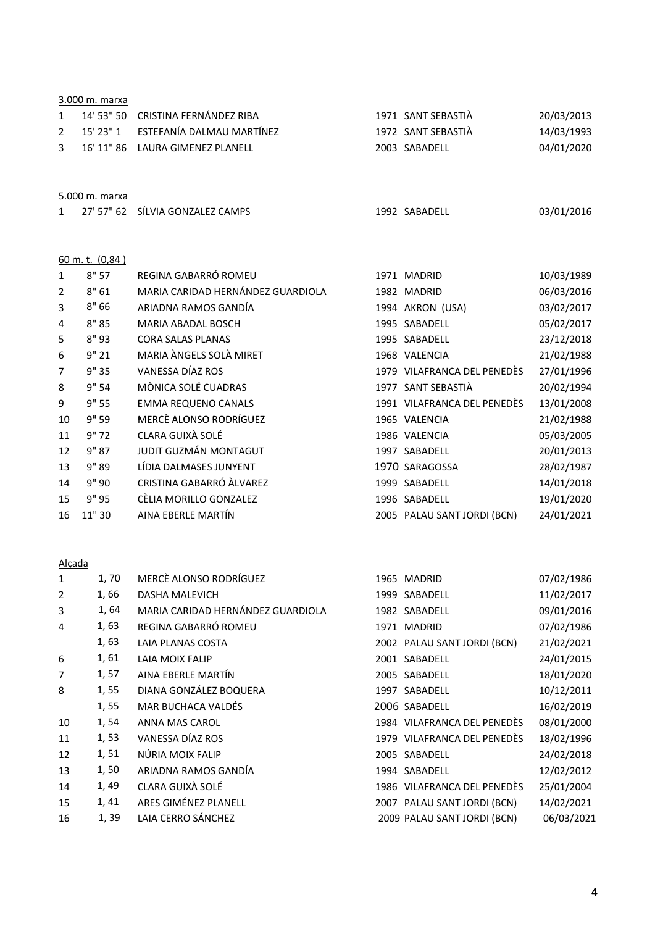|                | 3.000 m. marxa      |                                   |                             |            |
|----------------|---------------------|-----------------------------------|-----------------------------|------------|
| 1              | 14' 53" 50          | CRISTINA FERNÁNDEZ RIBA           | 1971 SANT SEBASTIÀ          | 20/03/2013 |
| $\overline{2}$ | 15' 23" 1           | ESTEFANÍA DALMAU MARTÍNEZ         | 1972 SANT SEBASTIÀ          | 14/03/1993 |
| 3              | 16' 11" 86          | LAURA GIMENEZ PLANELL             | 2003 SABADELL               | 04/01/2020 |
|                | 5.000 m. marxa      |                                   |                             |            |
| 1              | 27' 57" 62          | SÍLVIA GONZALEZ CAMPS             | 1992 SABADELL               | 03/01/2016 |
|                | $60$ m. t. $(0,84)$ |                                   |                             |            |
| 1              | 8"57                | REGINA GABARRÓ ROMEU              | 1971 MADRID                 | 10/03/1989 |
| 2              | 8"61                | MARIA CARIDAD HERNÁNDEZ GUARDIOLA | 1982 MADRID                 | 06/03/2016 |
| 3              | 8"66                | ARIADNA RAMOS GANDÍA              | 1994 AKRON (USA)            | 03/02/2017 |
| 4              | 8"85                | MARIA ABADAL BOSCH                | 1995 SABADELL               | 05/02/2017 |
| 5              | 8"93                | <b>CORA SALAS PLANAS</b>          | 1995 SABADELL               | 23/12/2018 |
| 6              | 9"21                | <b>MARIA ÀNGELS SOLÀ MIRET</b>    | 1968 VALENCIA               | 21/02/1988 |
| 7              | 9" 35               | VANESSA DÍAZ ROS                  | 1979 VILAFRANCA DEL PENEDÈS | 27/01/1996 |
| 8              | 9" 54               | MÒNICA SOLÉ CUADRAS               | 1977 SANT SEBASTIÀ          | 20/02/1994 |
| 9              | 9" 55               | <b>EMMA REQUENO CANALS</b>        | 1991 VILAFRANCA DEL PENEDÈS | 13/01/2008 |
| 10             | 9" 59               | MERCÈ ALONSO RODRÍGUEZ            | 1965 VALENCIA               | 21/02/1988 |
| 11             | 9"72                | CLARA GUIXÀ SOLÉ                  | 1986 VALENCIA               | 05/03/2005 |
| 12             | 9" 87               | JUDIT GUZMÁN MONTAGUT             | 1997 SABADELL               | 20/01/2013 |
| 13             | 9"89                | LÍDIA DALMASES JUNYENT            | 1970 SARAGOSSA              | 28/02/1987 |
| 14             | 9" 90               | CRISTINA GABARRÓ ÀLVAREZ          | 1999 SABADELL               | 14/01/2018 |
| 15             | 9" 95               | CÈLIA MORILLO GONZALEZ            | 1996 SABADELL               | 19/01/2020 |
| 16             | 11" 30              | AINA EBERLE MARTÍN                | 2005 PALAU SANT JORDI (BCN) | 24/01/2021 |
| Alçada         |                     |                                   |                             |            |
| $\mathbf{1}$   | 1,70                | MERCÈ ALONSO RODRÍGUEZ            | 1965 MADRID                 | 07/02/1986 |
| 2              | 1, 66               | <b>DASHA MALEVICH</b>             | 1999 SABADELL               | 11/02/2017 |
| 3              | 1, 64               | MARIA CARIDAD HERNÁNDEZ GUARDIOLA | 1982 SABADELL               | 09/01/2016 |
| 4              | 1,63                | REGINA GABARRÓ ROMEU              | 1971 MADRID                 | 07/02/1986 |
|                | 1,63                | LAIA PLANAS COSTA                 | 2002 PALAU SANT JORDI (BCN) | 21/02/2021 |
| 6              | 1, 61               | LAIA MOIX FALIP                   | 2001 SABADELL               | 24/01/2015 |
| 7              | 1, 57               | AINA EBERLE MARTÍN                | 2005 SABADELL               | 18/01/2020 |
| 8              | 1, 55               | DIANA GONZÁLEZ BOQUERA            | 1997 SABADELL               | 10/12/2011 |
|                | 1,55                | MAR BUCHACA VALDÉS                | 2006 SABADELL               | 16/02/2019 |

 1, 54 ANNA MAS CAROL 1984 VILAFRANCA DEL PENEDÈS 08/01/2000 1, 53 VANESSA DÍAZ ROS 1979 VILAFRANCA DEL PENEDÈS 18/02/1996 1, 51 NÚRIA MOIX FALIP 2005 SABADELL 24/02/2018 13 1, 50 ARIADNA RAMOS GANDÍA 1994 SABADELL 12/02/2012 1, 49 CLARA GUIXÀ SOLÉ 1986 VILAFRANCA DEL PENEDÈS 25/01/2004 1, 41 ARES GIMÉNEZ PLANELL 2007 PALAU SANT JORDI (BCN) 14/02/2021 16 1, 39 LAIA CERRO SÁNCHEZ 2009 PALAU SANT JORDI (BCN) 06/03/2021

4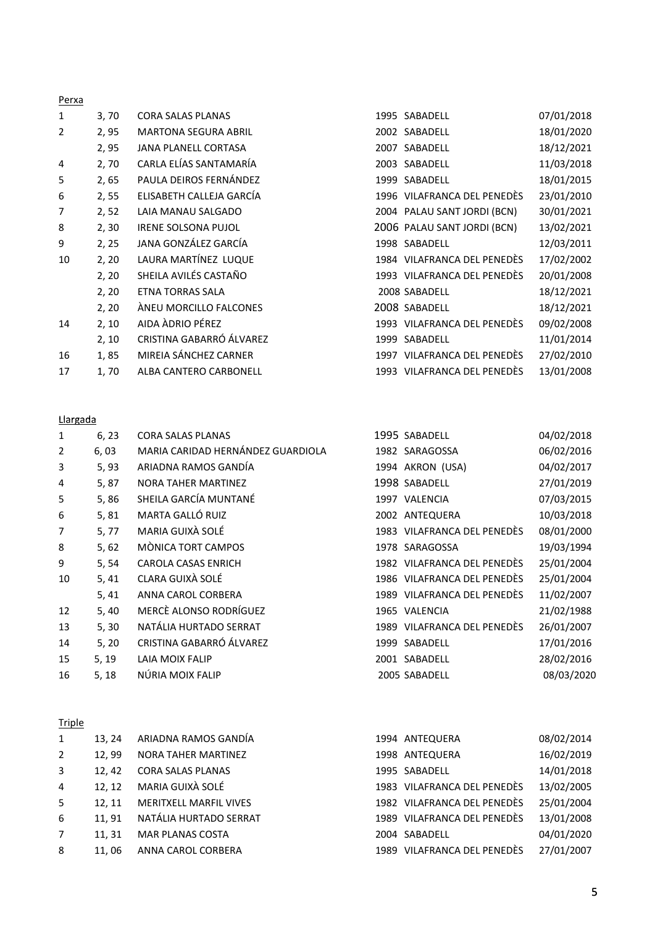| Perxa          |       |                             |      |                             |            |
|----------------|-------|-----------------------------|------|-----------------------------|------------|
| 1              | 3,70  | <b>CORA SALAS PLANAS</b>    |      | 1995 SABADELL               | 07/01/2018 |
| $\overline{2}$ | 2, 95 | <b>MARTONA SEGURA ABRIL</b> |      | 2002 SABADELL               | 18/01/2020 |
|                | 2,95  | <b>JANA PLANELL CORTASA</b> |      | 2007 SABADELL               | 18/12/2021 |
| 4              | 2,70  | CARLA ELÍAS SANTAMARÍA      | 2003 | SABADELL                    | 11/03/2018 |
| 5              | 2, 65 | PAULA DEIROS FERNÁNDEZ      | 1999 | SABADELL                    | 18/01/2015 |
| 6              | 2,55  | ELISABETH CALLEJA GARCÍA    |      | 1996 VILAFRANCA DEL PENEDÈS | 23/01/2010 |
| 7              | 2, 52 | LAIA MANAU SALGADO          |      | 2004 PALAU SANT JORDI (BCN) | 30/01/2021 |
| 8              | 2, 30 | <b>IRENE SOLSONA PUJOL</b>  |      | 2006 PALAU SANT JORDI (BCN) | 13/02/2021 |
| 9              | 2, 25 | JANA GONZÁLEZ GARCÍA        |      | 1998 SABADELL               | 12/03/2011 |
| 10             | 2, 20 | LAURA MARTÍNEZ LUQUE        |      | 1984 VILAFRANCA DEL PENEDÈS | 17/02/2002 |
|                | 2, 20 | SHEILA AVILÉS CASTAÑO       |      | 1993 VILAFRANCA DEL PENEDÈS | 20/01/2008 |
|                | 2, 20 | <b>ETNA TORRAS SALA</b>     |      | 2008 SABADELL               | 18/12/2021 |
|                | 2, 20 | ÀNEU MORCILLO FALCONES      |      | 2008 SABADELL               | 18/12/2021 |
| 14             | 2, 10 | AIDA ADRIO PÉREZ            |      | 1993 VILAFRANCA DEL PENEDÈS | 09/02/2008 |
|                | 2, 10 | CRISTINA GABARRÓ ÁLVAREZ    | 1999 | SABADELL                    | 11/01/2014 |
| 16             | 1,85  | MIREIA SÁNCHEZ CARNER       |      | 1997 VILAFRANCA DEL PENEDÈS | 27/02/2010 |
| 17             | 1,70  | ALBA CANTERO CARBONELL      |      | 1993 VILAFRANCA DEL PENEDES | 13/01/2008 |

#### Llargada

| 1              | 6, 23 | <b>CORA SALAS PLANAS</b>          | 1995 SABADELL               | 04/02/2018 |
|----------------|-------|-----------------------------------|-----------------------------|------------|
| $\overline{2}$ | 6, 03 | MARIA CARIDAD HERNÁNDEZ GUARDIOLA | 1982 SARAGOSSA              | 06/02/2016 |
| 3              | 5, 93 | ARIADNA RAMOS GANDÍA              | 1994 AKRON (USA)            | 04/02/2017 |
| 4              | 5, 87 | <b>NORA TAHER MARTINEZ</b>        | 1998 SABADELL               | 27/01/2019 |
| 5              | 5,86  | SHEILA GARCÍA MUNTANÉ             | 1997 VALENCIA               | 07/03/2015 |
| 6              | 5, 81 | MARTA GALLÓ RUIZ                  | 2002 ANTEQUERA              | 10/03/2018 |
| 7              | 5, 77 | MARIA GUIXÀ SOLÉ                  | 1983 VILAFRANCA DEL PENEDÈS | 08/01/2000 |
| 8              | 5,62  | MÒNICA TORT CAMPOS                | 1978 SARAGOSSA              | 19/03/1994 |
| 9              | 5, 54 | <b>CAROLA CASAS ENRICH</b>        | 1982 VILAFRANCA DEL PENEDÈS | 25/01/2004 |
| 10             | 5,41  | CLARA GUIXÀ SOLÉ                  | 1986 VILAFRANCA DEL PENEDÈS | 25/01/2004 |
|                | 5,41  | ANNA CAROL CORBERA                | 1989 VILAFRANCA DEL PENEDÈS | 11/02/2007 |
| 12             | 5,40  | MERCÈ ALONSO RODRÍGUEZ            | 1965 VALENCIA               | 21/02/1988 |
| 13             | 5, 30 | NATÁLIA HURTADO SERRAT            | 1989 VILAFRANCA DEL PENEDÈS | 26/01/2007 |
| 14             | 5, 20 | CRISTINA GABARRÓ ÁLVAREZ          | 1999 SABADELL               | 17/01/2016 |
| 15             | 5, 19 | LAIA MOIX FALIP                   | 2001 SABADELL               | 28/02/2016 |
| 16             | 5, 18 | NÚRIA MOIX FALIP                  | 2005 SABADELL               | 08/03/2020 |
|                |       |                                   |                             |            |

#### **Triple**

| 1           | 13.24 | ARIADNA RAMOS GANDÍA          | 1994 ANTEQUERA              | 08/02/2014 |
|-------------|-------|-------------------------------|-----------------------------|------------|
| 2           | 12.99 | NORA TAHER MARTINEZ           | 1998 ANTEQUERA              | 16/02/2019 |
| 3           | 12.42 | <b>CORA SALAS PLANAS</b>      | 1995 SABADELL               | 14/01/2018 |
| 4           | 12.12 | MARIA GUIXÀ SOLÉ              | 1983 VILAFRANCA DEL PENEDÈS | 13/02/2005 |
| -5          | 12.11 | <b>MERITXELL MARFIL VIVES</b> | 1982 VILAFRANCA DEL PENEDÈS | 25/01/2004 |
| 6           | 11.91 | NATÁLIA HURTADO SERRAT        | 1989 VILAFRANCA DEL PENEDÈS | 13/01/2008 |
| $7^{\circ}$ | 11.31 | <b>MAR PLANAS COSTA</b>       | 2004 SABADELL               | 04/01/2020 |
| 8           | 11,06 | ANNA CAROL CORBERA            | 1989 VILAFRANCA DEL PENEDÈS | 27/01/2007 |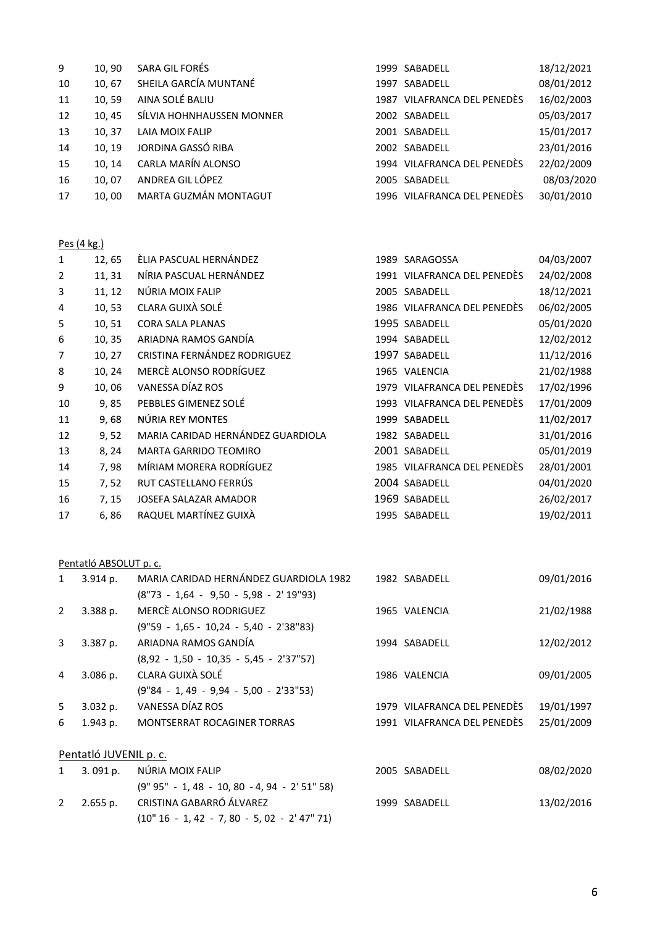| 9  | 10,90  | SARA GIL FORÉS            | 1999 SABADELL               | 18/12/2021 |
|----|--------|---------------------------|-----------------------------|------------|
| 10 | 10,67  | SHEILA GARCÍA MUNTANÉ     | 1997 SABADELL               | 08/01/2012 |
| 11 | 10.59  | AINA SOLÉ BALIU           | 1987 VILAFRANCA DEL PENEDÈS | 16/02/2003 |
| 12 | 10, 45 | SÍLVIA HOHNHAUSSEN MONNER | 2002 SABADELL               | 05/03/2017 |
| 13 | 10, 37 | LAIA MOIX FALIP           | 2001 SABADELL               | 15/01/2017 |
| 14 | 10, 19 | JORDINA GASSÓ RIBA        | 2002 SABADELL               | 23/01/2016 |
| 15 | 10.14  | CARLA MARÍN ALONSO        | 1994 VILAFRANCA DEL PENEDÈS | 22/02/2009 |
| 16 | 10.07  | ANDREA GIL LÓPEZ          | 2005 SABADELL               | 08/03/2020 |
| 17 | 10,00  | MARTA GUZMÁN MONTAGUT     | 1996 VILAFRANCA DEL PENEDÈS | 30/01/2010 |

#### Pes (4 kg.)

| 1  | 12,65  | ÈLIA PASCUAL HERNÁNDEZ            | 1989 SARAGOSSA              | 04/03/2007 |
|----|--------|-----------------------------------|-----------------------------|------------|
| 2  | 11, 31 | NÍRIA PASCUAL HERNÁNDEZ           | 1991 VILAFRANCA DEL PENEDÈS | 24/02/2008 |
| 3  | 11, 12 | NÚRIA MOIX FALIP                  | 2005 SABADELL               | 18/12/2021 |
| 4  | 10, 53 | CLARA GUIXÀ SOLÉ                  | 1986 VILAFRANCA DEL PENEDÈS | 06/02/2005 |
| 5  | 10,51  | <b>CORA SALA PLANAS</b>           | 1995 SABADELL               | 05/01/2020 |
| 6  | 10, 35 | ARIADNA RAMOS GANDÍA              | 1994 SABADELL               | 12/02/2012 |
| 7  | 10, 27 | CRISTINA FERNÁNDEZ RODRIGUEZ      | 1997 SABADELL               | 11/12/2016 |
| 8  | 10, 24 | MERCÈ ALONSO RODRÍGUEZ            | 1965 VALENCIA               | 21/02/1988 |
| 9  | 10,06  | VANESSA DÍAZ ROS                  | 1979 VILAFRANCA DEL PENEDÈS | 17/02/1996 |
| 10 | 9,85   | PEBBLES GIMENEZ SOLÉ              | 1993 VILAFRANCA DEL PENEDÈS | 17/01/2009 |
| 11 | 9,68   | NÚRIA REY MONTES                  | 1999 SABADELL               | 11/02/2017 |
| 12 | 9,52   | MARIA CARIDAD HERNÁNDEZ GUARDIOLA | 1982 SABADELL               | 31/01/2016 |
| 13 | 8, 24  | <b>MARTA GARRIDO TEOMIRO</b>      | 2001 SABADELL               | 05/01/2019 |
| 14 | 7,98   | MÍRIAM MORERA RODRÍGUEZ           | 1985 VILAFRANCA DEL PENEDÈS | 28/01/2001 |
| 15 | 7, 52  | RUT CASTELLANO FERRÚS             | 2004 SABADELL               | 04/01/2020 |
| 16 | 7, 15  | JOSEFA SALAZAR AMADOR             | 1969 SABADELL               | 26/02/2017 |
| 17 | 6,86   | RAQUEL MARTÍNEZ GUIXÀ             | 1995 SABADELL               | 19/02/2011 |
|    |        |                                   |                             |            |

#### Pentatló ABSOLUT p. c.

| $\mathbf{1}$           | 3.914 p.   | MARIA CARIDAD HERNÁNDEZ GUARDIOLA 1982          |  | 1982 SABADELL               | 09/01/2016 |
|------------------------|------------|-------------------------------------------------|--|-----------------------------|------------|
|                        |            | $(8"73 - 1,64 - 9,50 - 5,98 - 2'19"93)$         |  |                             |            |
| 2                      | 3.388 p.   | MERCÈ ALONSO RODRIGUEZ                          |  | 1965 VALENCIA               | 21/02/1988 |
|                        |            | $(9"59 - 1,65 - 10,24 - 5,40 - 2'38"83)$        |  |                             |            |
| $\overline{3}$         | 3.387 p.   | ARIADNA RAMOS GANDÍA                            |  | 1994 SABADELL               | 12/02/2012 |
|                        |            | $(8,92 - 1,50 - 10,35 - 5,45 - 2'37"57)$        |  |                             |            |
| 4                      | $3.086$ p. | CLARA GUIXÀ SOLÉ                                |  | 1986 VALENCIA               | 09/01/2005 |
|                        |            | $(9"84 - 1, 49 - 9,94 - 5,00 - 2'33"53)$        |  |                             |            |
| 5                      | 3.032 p.   | VANESSA DÍAZ ROS                                |  | 1979 VILAFRANCA DEL PENEDÈS | 19/01/1997 |
| 6                      | 1.943 p.   | MONTSERRAT ROCAGINER TORRAS                     |  | 1991 VILAFRANCA DEL PENEDÈS | 25/01/2009 |
|                        |            |                                                 |  |                             |            |
| Pentatló JUVENIL p. c. |            |                                                 |  |                             |            |
| $\mathbf{1}$           | 3.091 p.   | NÚRIA MOIX FALIP                                |  | 2005 SABADELL               | 08/02/2020 |
|                        |            | $(9" 95" - 1, 48 - 10, 80 - 4, 94 - 2' 51" 58)$ |  |                             |            |
| 2                      | 2.655 p.   | CRISTINA GABARRÓ ÁLVAREZ                        |  | 1999 SABADELL               | 13/02/2016 |
|                        |            | $(10" 16 - 1, 42 - 7, 80 - 5, 02 - 2' 47" 71)$  |  |                             |            |